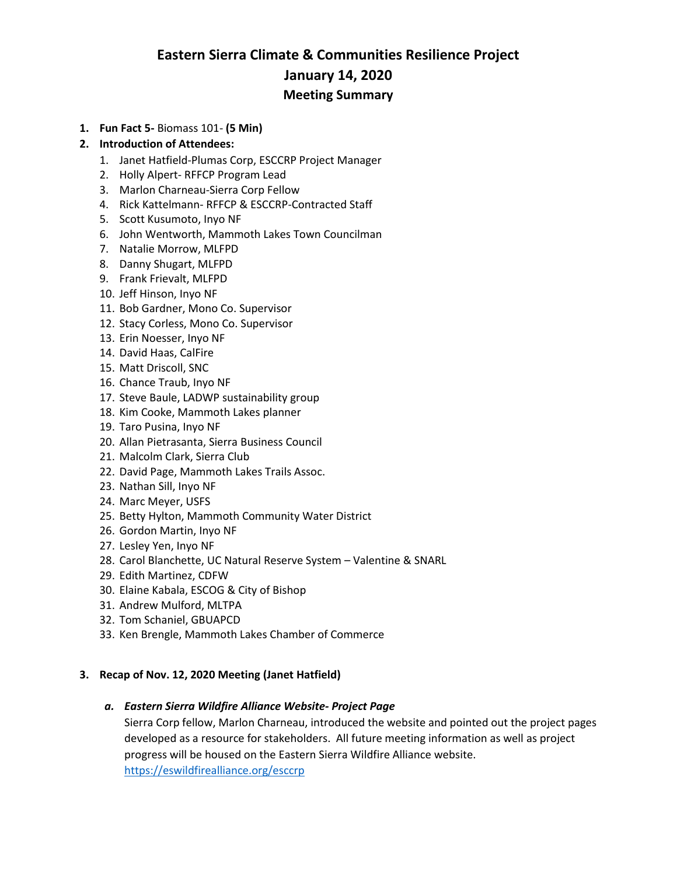# **Eastern Sierra Climate & Communities Resilience Project January 14, 2020 Meeting Summary**

**1. Fun Fact 5-** Biomass 101- **(5 Min)**

# **2. Introduction of Attendees:**

- 1. Janet Hatfield-Plumas Corp, ESCCRP Project Manager
- 2. Holly Alpert- RFFCP Program Lead
- 3. Marlon Charneau-Sierra Corp Fellow
- 4. Rick Kattelmann- RFFCP & ESCCRP-Contracted Staff
- 5. Scott Kusumoto, Inyo NF
- 6. John Wentworth, Mammoth Lakes Town Councilman
- 7. Natalie Morrow, MLFPD
- 8. Danny Shugart, MLFPD
- 9. Frank Frievalt, MLFPD
- 10. Jeff Hinson, Inyo NF
- 11. Bob Gardner, Mono Co. Supervisor
- 12. Stacy Corless, Mono Co. Supervisor
- 13. Erin Noesser, Inyo NF
- 14. David Haas, CalFire
- 15. Matt Driscoll, SNC
- 16. Chance Traub, Inyo NF
- 17. Steve Baule, LADWP sustainability group
- 18. Kim Cooke, Mammoth Lakes planner
- 19. Taro Pusina, Inyo NF
- 20. Allan Pietrasanta, Sierra Business Council
- 21. Malcolm Clark, Sierra Club
- 22. David Page, Mammoth Lakes Trails Assoc.
- 23. Nathan Sill, Inyo NF
- 24. Marc Meyer, USFS
- 25. Betty Hylton, Mammoth Community Water District
- 26. Gordon Martin, Inyo NF
- 27. Lesley Yen, Inyo NF
- 28. Carol Blanchette, UC Natural Reserve System Valentine & SNARL
- 29. Edith Martinez, CDFW
- 30. Elaine Kabala, ESCOG & City of Bishop
- 31. Andrew Mulford, MLTPA
- 32. Tom Schaniel, GBUAPCD
- 33. Ken Brengle, Mammoth Lakes Chamber of Commerce

# **3. Recap of Nov. 12, 2020 Meeting (Janet Hatfield)**

# *a. Eastern Sierra Wildfire Alliance Website- Project Page*

Sierra Corp fellow, Marlon Charneau, introduced the website and pointed out the project pages developed as a resource for stakeholders. All future meeting information as well as project progress will be housed on the Eastern Sierra Wildfire Alliance website. <https://eswildfirealliance.org/esccrp>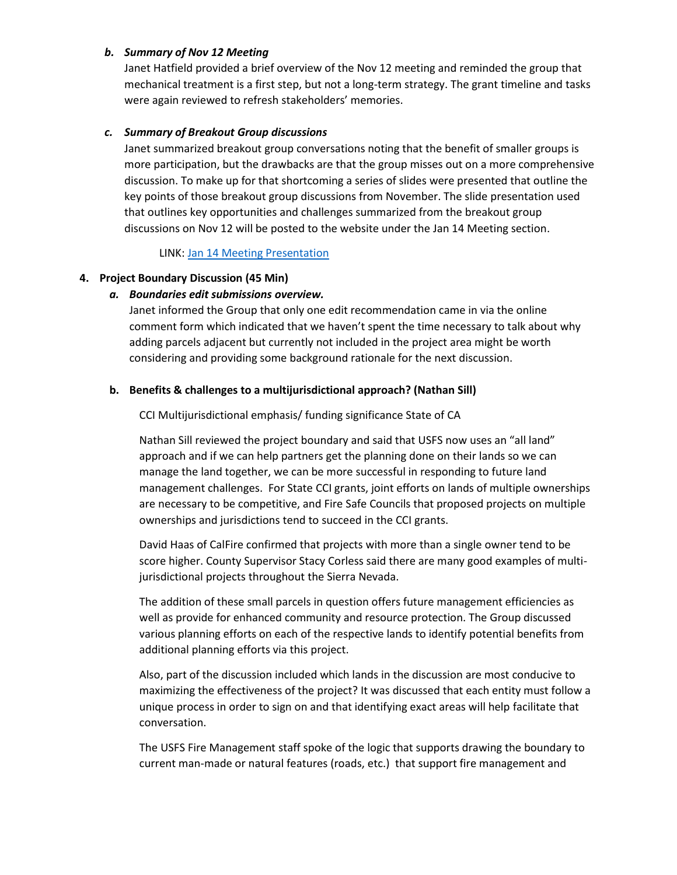#### *b. Summary of Nov 12 Meeting*

Janet Hatfield provided a brief overview of the Nov 12 meeting and reminded the group that mechanical treatment is a first step, but not a long-term strategy. The grant timeline and tasks were again reviewed to refresh stakeholders' memories.

#### *c. Summary of Breakout Group discussions*

Janet summarized breakout group conversations noting that the benefit of smaller groups is more participation, but the drawbacks are that the group misses out on a more comprehensive discussion. To make up for that shortcoming a series of slides were presented that outline the key points of those breakout group discussions from November. The slide presentation used that outlines key opportunities and challenges summarized from the breakout group discussions on Nov 12 will be posted to the website under the Jan 14 Meeting section.

LINK[: Jan 14 Meeting Presentation](https://6e569fe6-5a83-4329-8d2b-a6aa1e368140.filesusr.com/ugd/53aa1c_1906e204236a4203aed2546f912466c7.pdf)

#### **4. Project Boundary Discussion (45 Min)**

#### *a. Boundaries edit submissions overview.*

Janet informed the Group that only one edit recommendation came in via the online comment form which indicated that we haven't spent the time necessary to talk about why adding parcels adjacent but currently not included in the project area might be worth considering and providing some background rationale for the next discussion.

#### **b. Benefits & challenges to a multijurisdictional approach? (Nathan Sill)**

CCI Multijurisdictional emphasis/ funding significance State of CA

Nathan Sill reviewed the project boundary and said that USFS now uses an "all land" approach and if we can help partners get the planning done on their lands so we can manage the land together, we can be more successful in responding to future land management challenges. For State CCI grants, joint efforts on lands of multiple ownerships are necessary to be competitive, and Fire Safe Councils that proposed projects on multiple ownerships and jurisdictions tend to succeed in the CCI grants.

David Haas of CalFire confirmed that projects with more than a single owner tend to be score higher. County Supervisor Stacy Corless said there are many good examples of multijurisdictional projects throughout the Sierra Nevada.

The addition of these small parcels in question offers future management efficiencies as well as provide for enhanced community and resource protection. The Group discussed various planning efforts on each of the respective lands to identify potential benefits from additional planning efforts via this project.

Also, part of the discussion included which lands in the discussion are most conducive to maximizing the effectiveness of the project? It was discussed that each entity must follow a unique process in order to sign on and that identifying exact areas will help facilitate that conversation.

The USFS Fire Management staff spoke of the logic that supports drawing the boundary to current man-made or natural features (roads, etc.) that support fire management and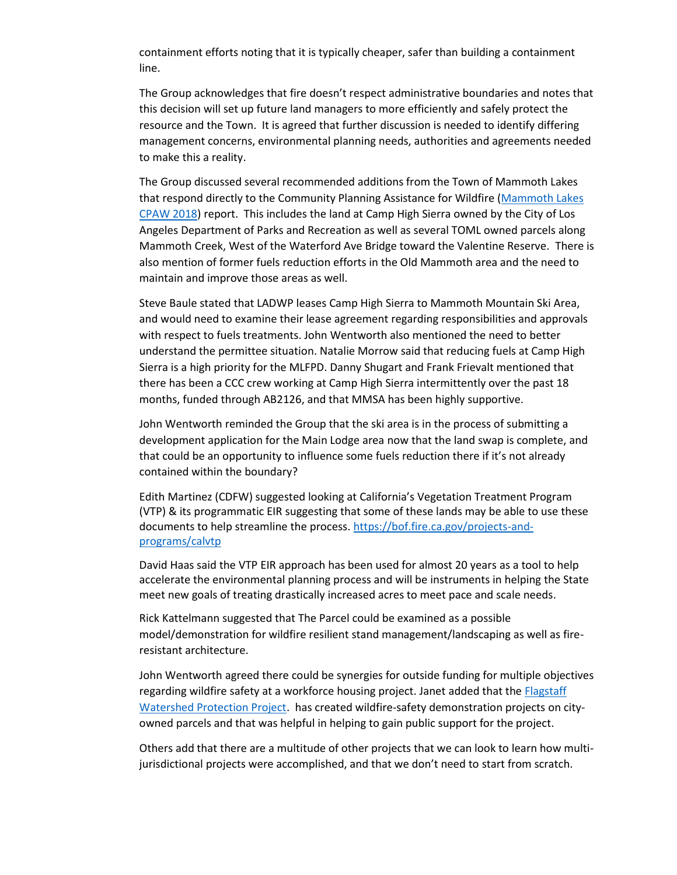containment efforts noting that it is typically cheaper, safer than building a containment line.

The Group acknowledges that fire doesn't respect administrative boundaries and notes that this decision will set up future land managers to more efficiently and safely protect the resource and the Town. It is agreed that further discussion is needed to identify differing management concerns, environmental planning needs, authorities and agreements needed to make this a reality.

The Group discussed several recommended additions from the Town of Mammoth Lakes that respond directly to the Community Planning Assistance for Wildfire [\(Mammoth Lakes](https://cpaw.headwaterseconomics.org/project/mammoth-lakes-california/)  [CPAW 2018\)](https://cpaw.headwaterseconomics.org/project/mammoth-lakes-california/) report. This includes the land at Camp High Sierra owned by the City of Los Angeles Department of Parks and Recreation as well as several TOML owned parcels along Mammoth Creek, West of the Waterford Ave Bridge toward the Valentine Reserve. There is also mention of former fuels reduction efforts in the Old Mammoth area and the need to maintain and improve those areas as well.

Steve Baule stated that LADWP leases Camp High Sierra to Mammoth Mountain Ski Area, and would need to examine their lease agreement regarding responsibilities and approvals with respect to fuels treatments. John Wentworth also mentioned the need to better understand the permittee situation. Natalie Morrow said that reducing fuels at Camp High Sierra is a high priority for the MLFPD. Danny Shugart and Frank Frievalt mentioned that there has been a CCC crew working at Camp High Sierra intermittently over the past 18 months, funded through AB2126, and that MMSA has been highly supportive.

John Wentworth reminded the Group that the ski area is in the process of submitting a development application for the Main Lodge area now that the land swap is complete, and that could be an opportunity to influence some fuels reduction there if it's not already contained within the boundary?

Edith Martinez (CDFW) suggested looking at California's Vegetation Treatment Program (VTP) & its programmatic EIR suggesting that some of these lands may be able to use these documents to help streamline the process. [https://bof.fire.ca.gov/projects-and](https://bof.fire.ca.gov/projects-and-programs/calvtp)[programs/calvtp](https://bof.fire.ca.gov/projects-and-programs/calvtp)

David Haas said the VTP EIR approach has been used for almost 20 years as a tool to help accelerate the environmental planning process and will be instruments in helping the State meet new goals of treating drastically increased acres to meet pace and scale needs.

Rick Kattelmann suggested that The Parcel could be examined as a possible model/demonstration for wildfire resilient stand management/landscaping as well as fireresistant architecture.

John Wentworth agreed there could be synergies for outside funding for multiple objectives regarding wildfire safety at a workforce housing project. Janet added that the **Flagstaff** [Watershed Protection Project.](https://flagstaffwatershedprotection.org/wp-content/uploads/2014/10/Final-FWPP-Cost-Avoidance-October-27.pdf) has created wildfire-safety demonstration projects on cityowned parcels and that was helpful in helping to gain public support for the project.

Others add that there are a multitude of other projects that we can look to learn how multijurisdictional projects were accomplished, and that we don't need to start from scratch.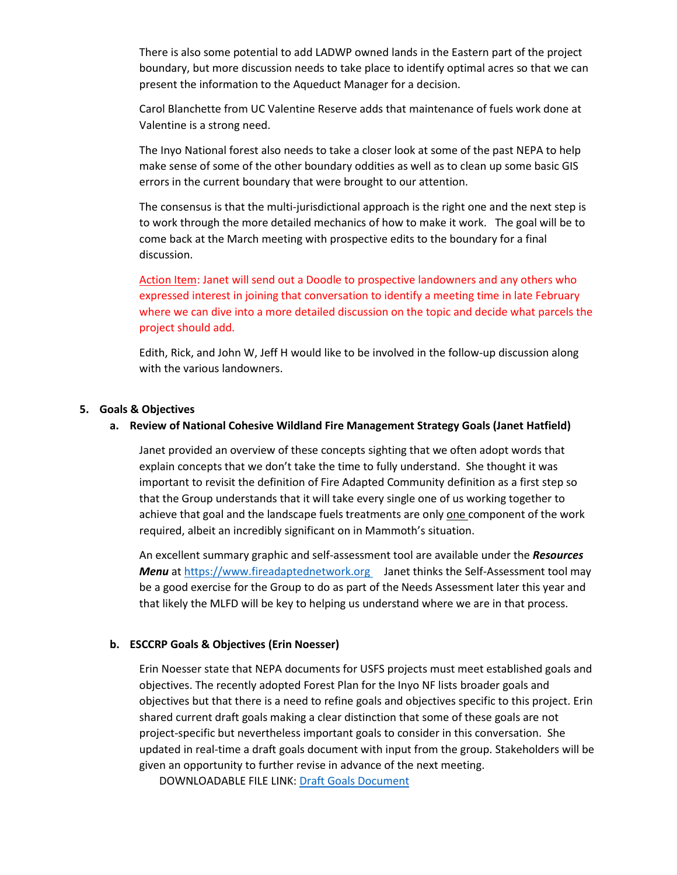There is also some potential to add LADWP owned lands in the Eastern part of the project boundary, but more discussion needs to take place to identify optimal acres so that we can present the information to the Aqueduct Manager for a decision.

Carol Blanchette from UC Valentine Reserve adds that maintenance of fuels work done at Valentine is a strong need.

The Inyo National forest also needs to take a closer look at some of the past NEPA to help make sense of some of the other boundary oddities as well as to clean up some basic GIS errors in the current boundary that were brought to our attention.

The consensus is that the multi-jurisdictional approach is the right one and the next step is to work through the more detailed mechanics of how to make it work. The goal will be to come back at the March meeting with prospective edits to the boundary for a final discussion.

Action Item: Janet will send out a Doodle to prospective landowners and any others who expressed interest in joining that conversation to identify a meeting time in late February where we can dive into a more detailed discussion on the topic and decide what parcels the project should add.

Edith, Rick, and John W, Jeff H would like to be involved in the follow-up discussion along with the various landowners.

#### **5. Goals & Objectives**

#### **a. Review of National Cohesive Wildland Fire Management Strategy Goals (Janet Hatfield)**

Janet provided an overview of these concepts sighting that we often adopt words that explain concepts that we don't take the time to fully understand. She thought it was important to revisit the definition of Fire Adapted Community definition as a first step so that the Group understands that it will take every single one of us working together to achieve that goal and the landscape fuels treatments are only one component of the work required, albeit an incredibly significant on in Mammoth's situation.

An excellent summary graphic and self-assessment tool are available under the *Resources Menu* a[t https://www.fireadaptednetwork.org](https://www.fireadaptednetwork.org/) Janet thinks the Self-Assessment tool may be a good exercise for the Group to do as part of the Needs Assessment later this year and that likely the MLFD will be key to helping us understand where we are in that process.

# **b. ESCCRP Goals & Objectives (Erin Noesser)**

Erin Noesser state that NEPA documents for USFS projects must meet established goals and objectives. The recently adopted Forest Plan for the Inyo NF lists broader goals and objectives but that there is a need to refine goals and objectives specific to this project. Erin shared current draft goals making a clear distinction that some of these goals are not project-specific but nevertheless important goals to consider in this conversation. She updated in real-time a draft goals document with input from the group. Stakeholders will be given an opportunity to further revise in advance of the next meeting.

DOWNLOADABLE FILE LINK: [Draft Goals Document](https://6e569fe6-5a83-4329-8d2b-a6aa1e368140.filesusr.com/ugd/53aa1c_e2e18d0fee65449c9c334aa6e94a1591.docx?dn=ESCCRP_Goals_Objectives_V3_EN_review.doc)